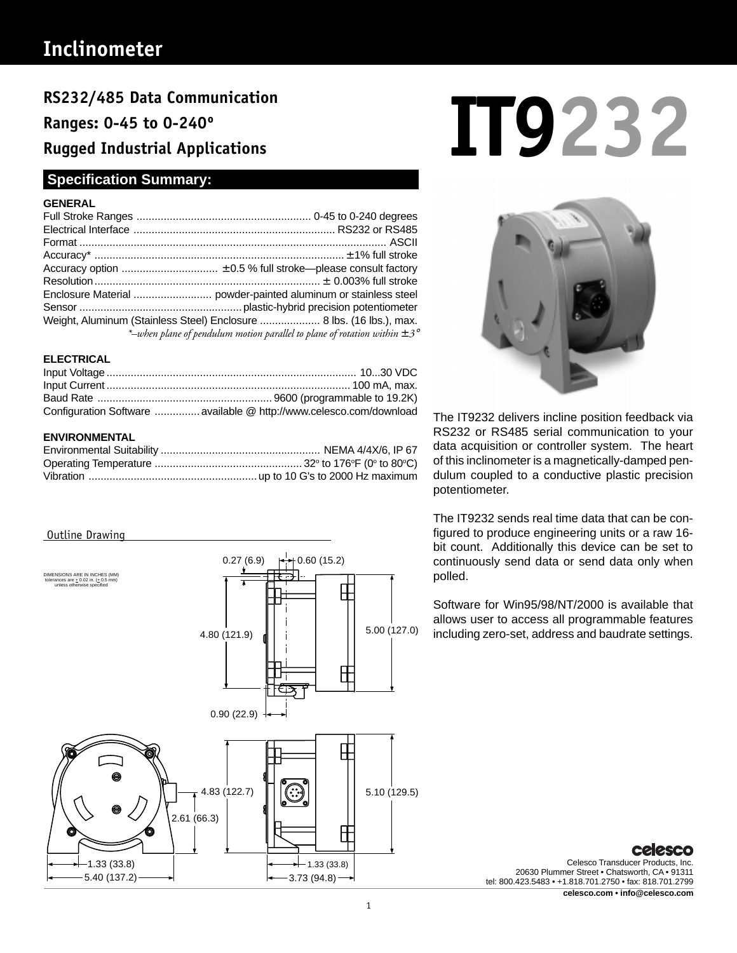# **Inclinometer**

**Ranges: 0-45 to 0-240º Rugged Industrial Applications**

# **Specification Summary:**

### **GENERAL**

| Weight, Aluminum (Stainless Steel) Enclosure  8 lbs. (16 lbs.), max.                 |
|--------------------------------------------------------------------------------------|
| *-when plane of pendulum motion parallel to plane of rotation within $\pm 3^{\circ}$ |
|                                                                                      |

### **ELECTRICAL**

| Configuration Software  available @ http://www.celesco.com/download |
|---------------------------------------------------------------------|

### **ENVIRONMENTAL**

### Outline Drawing



# RS232/485 Data Communication<br>Ranges: 0-45 to 0-240°<br>Rugged Industrial Applications



The IT9232 delivers incline position feedback via RS232 or RS485 serial communication to your data acquisition or controller system. The heart of this inclinometer is a magnetically-damped pendulum coupled to a conductive plastic precision potentiometer.

The IT9232 sends real time data that can be configured to produce engineering units or a raw 16 bit count. Additionally this device can be set to continuously send data or send data only when polled.

Software for Win95/98/NT/2000 is available that allows user to access all programmable features including zero-set, address and baudrate settings.

Celesco Transducer Products, Inc.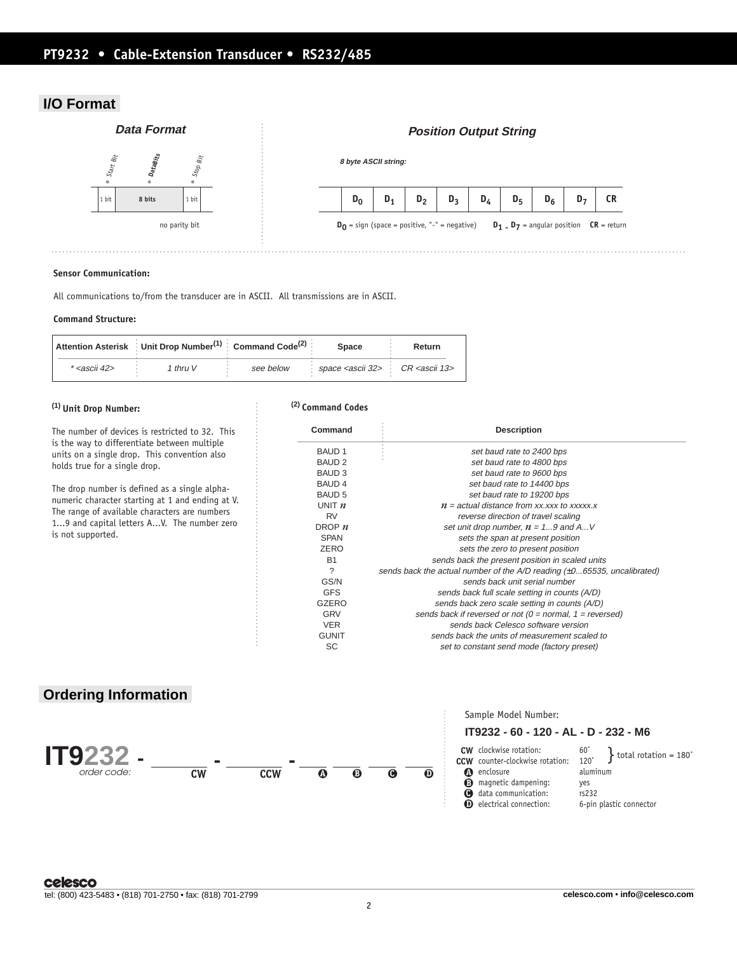# **PT9232 • Cable-Extension Transducer • RS232/485**

## **I/O Format**



### **Sensor Communication:**

All communications to/from the transducer are in ASCII. All transmissions are in ASCII.

### **Command Structure:**

|                         | Attention Asterisk Unit Drop Number <sup>(1)</sup> Command Code <sup>(2)</sup> |           | <b>Space</b>                                           | Return |
|-------------------------|--------------------------------------------------------------------------------|-----------|--------------------------------------------------------|--------|
| * <ascii 42=""></ascii> | 1 thru V                                                                       | see below | space <ascii 32=""> : CR <ascii 13=""></ascii></ascii> |        |

### **(1) Unit Drop Number:**

The number of devices is restricted to 32. This is the way to differentiate between multiple units on a single drop. This convention also holds true for a single drop.

The drop number is defined as a single alphanumeric character starting at 1 and ending at V. The range of available characters are numbers 1...9 and capital letters A...V. The number zero is not supported.

### **(2) Command Codes**

| Command       | <b>Description</b>                                                             |
|---------------|--------------------------------------------------------------------------------|
| <b>BAUD1</b>  | set baud rate to 2400 bps                                                      |
| <b>BAUD 2</b> | set baud rate to 4800 bps                                                      |
| <b>BAUD3</b>  | set baud rate to 9600 bps                                                      |
| <b>BAUD 4</b> | set baud rate to 14400 bps                                                     |
| <b>BAUD 5</b> | set baud rate to 19200 bps                                                     |
| UNIT $n$      | $n =$ actual distance from xx, xxx to xxxxx, x                                 |
| <b>RV</b>     | reverse direction of travel scaling                                            |
| DROP $n$      | set unit drop number, $n = 19$ and AV                                          |
| <b>SPAN</b>   | sets the span at present position                                              |
| ZERO          | sets the zero to present position                                              |
| <b>B1</b>     | sends back the present position in scaled units                                |
| ?             | sends back the actual number of the $A/D$ reading $(\pm 065535,$ uncalibrated) |
| GS/N          | sends back unit serial number                                                  |
| <b>GFS</b>    | sends back full scale setting in counts (A/D)                                  |
| <b>GZERO</b>  | sends back zero scale setting in counts (A/D)                                  |
| <b>GRV</b>    | sends back if reversed or not ( $0 =$ normal, $1 =$ reversed)                  |
| <b>VER</b>    | sends back Celesco software version                                            |
| <b>GUNIT</b>  | sends back the units of measurement scaled to                                  |
| SC            | set to constant send mode (factory preset)                                     |

# **Ordering Information**



# Sample Model Number:

### **IT9232 - 60 - 120 - AL - D - 232 - M6**

**B** magnetic dampening: yes **C** data communication: rs232 clockwise rotation: 60˚ **CW** CCW counter-clockwise rotation: 120° **c** enclosure aluminum

**D** electrical connection: 6-pin plastic connector

 $\begin{bmatrix} 60^\circ \\ 120^\circ \end{bmatrix}$  total rotation = 180°